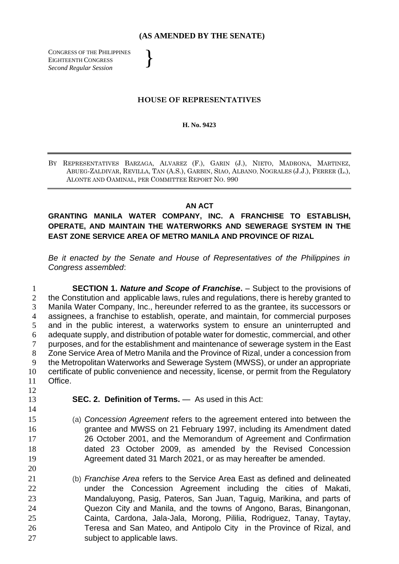## **(AS AMENDED BY THE SENATE)**

}

CONGRESS OF THE PHILIPPINES EIGHTEENTH CONGRESS *Second Regular Session*

## **HOUSE OF REPRESENTATIVES**

## **H. No. 9423**

BY REPRESENTATIVES BARZAGA, ALVAREZ (F.), GARIN (J.), NIETO, MADRONA, MARTINEZ, ABUEG-ZALDIVAR, REVILLA, TAN (A.S.), GARBIN, SIAO, ALBANO, NOGRALES (J.J.), FERRER (L.), ALONTE AND OAMINAL, PER COMMITTEE REPORT NO. 990

## **AN ACT**

**GRANTING MANILA WATER COMPANY, INC. A FRANCHISE TO ESTABLISH, OPERATE, AND MAINTAIN THE WATERWORKS AND SEWERAGE SYSTEM IN THE EAST ZONE SERVICE AREA OF METRO MANILA AND PROVINCE OF RIZAL**

*Be it enacted by the Senate and House of Representatives of the Philippines in Congress assembled*:

 **SECTION 1.** *Nature and Scope of Franchise***.** – Subject to the provisions of 2 the Constitution and applicable laws, rules and regulations, there is hereby granted to Manila Water Company, Inc., hereunder referred to as the grantee, its successors or assignees, a franchise to establish, operate, and maintain, for commercial purposes and in the public interest, a waterworks system to ensure an uninterrupted and adequate supply, and distribution of potable water for domestic, commercial, and other purposes, and for the establishment and maintenance of sewerage system in the East Zone Service Area of Metro Manila and the Province of Rizal, under a concession from the Metropolitan Waterworks and Sewerage System (MWSS), or under an appropriate certificate of public convenience and necessity, license, or permit from the Regulatory Office.

- **SEC. 2. Definition of Terms.** As used in this Act:
- (a) *Concession Agreement* refers to the agreement entered into between the grantee and MWSS on 21 February 1997, including its Amendment dated 26 October 2001, and the Memorandum of Agreement and Confirmation dated 23 October 2009, as amended by the Revised Concession Agreement dated 31 March 2021, or as may hereafter be amended.
- (b) *Franchise Area* refers to the Service Area East as defined and delineated under the Concession Agreement including the cities of Makati, Mandaluyong, Pasig, Pateros, San Juan, Taguig, Marikina, and parts of Quezon City and Manila, and the towns of Angono, Baras, Binangonan, Cainta, Cardona, Jala-Jala, Morong, Pililia, Rodriguez, Tanay, Taytay, Teresa and San Mateo, and Antipolo City in the Province of Rizal, and subject to applicable laws.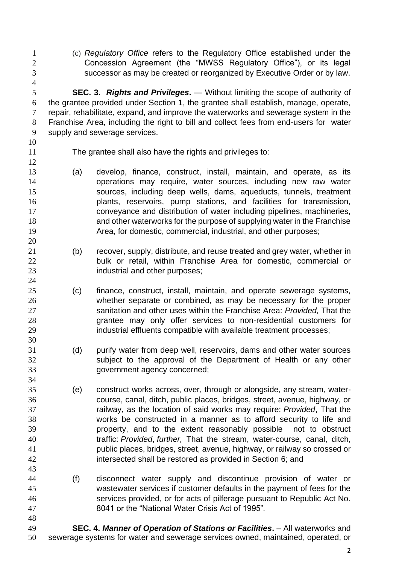(c) *Regulatory Office* refers to the Regulatory Office established under the Concession Agreement (the "MWSS Regulatory Office"), or its legal successor as may be created or reorganized by Executive Order or by law.

 **SEC. 3.** *Rights and Privileges***.** — Without limiting the scope of authority of the grantee provided under Section 1, the grantee shall establish, manage, operate, repair, rehabilitate, expand, and improve the waterworks and sewerage system in the Franchise Area, including the right to bill and collect fees from end-users for water supply and sewerage services.

- 
- 

The grantee shall also have the rights and privileges to:

- (a) develop, finance, construct, install, maintain, and operate, as its operations may require, water sources, including new raw water sources, including deep wells, dams, aqueducts, tunnels, treatment plants, reservoirs, pump stations, and facilities for transmission, conveyance and distribution of water including pipelines, machineries, and other waterworks for the purpose of supplying water in the Franchise Area, for domestic, commercial, industrial, and other purposes;
- (b) recover, supply, distribute, and reuse treated and grey water, whether in 22 bulk or retail, within Franchise Area for domestic, commercial or **industrial and other purposes;**
- (c) finance, construct, install, maintain, and operate sewerage systems, whether separate or combined, as may be necessary for the proper sanitation and other uses within the Franchise Area: *Provided,* That the grantee may only offer services to non-residential customers for 29 industrial effluents compatible with available treatment processes;
- (d) purify water from deep well, reservoirs, dams and other water sources subject to the approval of the Department of Health or any other government agency concerned;
- (e) construct works across, over, through or alongside, any stream, water- course, canal, ditch, public places, bridges, street, avenue, highway, or railway, as the location of said works may require: *Provided*, That the works be constructed in a manner as to afford security to life and property, and to the extent reasonably possible not to obstruct traffic: *Provided*, *further,* That the stream, water-course, canal, ditch, public places, bridges, street, avenue, highway, or railway so crossed or intersected shall be restored as provided in Section 6; and
- (f) disconnect water supply and discontinue provision of water or wastewater services if customer defaults in the payment of fees for the services provided, or for acts of pilferage pursuant to Republic Act No. 8041 or the "National Water Crisis Act of 1995"*.*
- **SEC. 4.** *Manner of Operation of Stations or Facilities***.**  All waterworks and sewerage systems for water and sewerage services owned, maintained, operated, or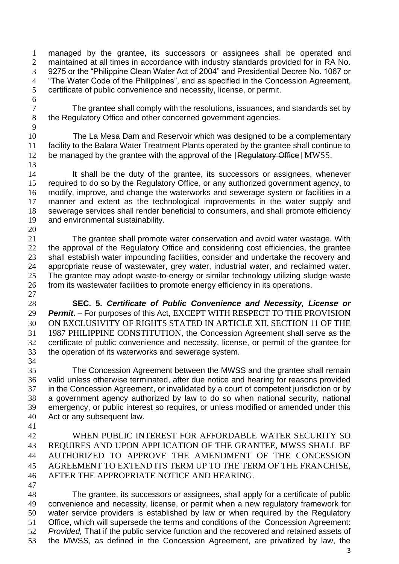managed by the grantee, its successors or assignees shall be operated and maintained at all times in accordance with industry standards provided for in RA No. 9275 or the "Philippine Clean Water Act of 2004" and Presidential Decree No. 1067 or "The Water Code of the Philippines", and as specified in the Concession Agreement, certificate of public convenience and necessity, license, or permit.

 The grantee shall comply with the resolutions, issuances, and standards set by the Regulatory Office and other concerned government agencies.

 The La Mesa Dam and Reservoir which was designed to be a complementary facility to the Balara Water Treatment Plants operated by the grantee shall continue to 12 be managed by the grantee with the approval of the [Regulatory Office] MWSS. 

 It shall be the duty of the grantee, its successors or assignees, whenever required to do so by the Regulatory Office, or any authorized government agency, to modify, improve, and change the waterworks and sewerage system or facilities in a manner and extent as the technological improvements in the water supply and sewerage services shall render beneficial to consumers, and shall promote efficiency and environmental sustainability. 

 The grantee shall promote water conservation and avoid water wastage. With the approval of the Regulatory Office and considering cost efficiencies, the grantee shall establish water impounding facilities, consider and undertake the recovery and appropriate reuse of wastewater, grey water, industrial water, and reclaimed water. The grantee may adopt waste-to-energy or similar technology utilizing sludge waste from its wastewater facilities to promote energy efficiency in its operations. 

 **SEC. 5.** *Certificate of Public Convenience and Necessity, License or Permit***.** – For purposes of this Act, EXCEPT WITH RESPECT TO THE PROVISION ON EXCLUSIVITY OF RIGHTS STATED IN ARTICLE XII, SECTION 11 OF THE 1987 PHILIPPINE CONSTITUTION, the Concession Agreement shall serve as the certificate of public convenience and necessity, license, or permit of the grantee for the operation of its waterworks and sewerage system.

 The Concession Agreement between the MWSS and the grantee shall remain valid unless otherwise terminated, after due notice and hearing for reasons provided in the Concession Agreement, or invalidated by a court of competent jurisdiction or by a government agency authorized by law to do so when national security, national emergency, or public interest so requires, or unless modified or amended under this Act or any subsequent law.

 WHEN PUBLIC INTEREST FOR AFFORDABLE WATER SECURITY SO REQUIRES AND UPON APPLICATION OF THE GRANTEE, MWSS SHALL BE AUTHORIZED TO APPROVE THE AMENDMENT OF THE CONCESSION AGREEMENT TO EXTEND ITS TERM UP TO THE TERM OF THE FRANCHISE, AFTER THE APPROPRIATE NOTICE AND HEARING.

 The grantee, its successors or assignees, shall apply for a certificate of public convenience and necessity, license, or permit when a new regulatory framework for water service providers is established by law or when required by the Regulatory Office, which will supersede the terms and conditions of the Concession Agreement: *Provided,* That if the public service function and the recovered and retained assets of the MWSS, as defined in the Concession Agreement, are privatized by law, the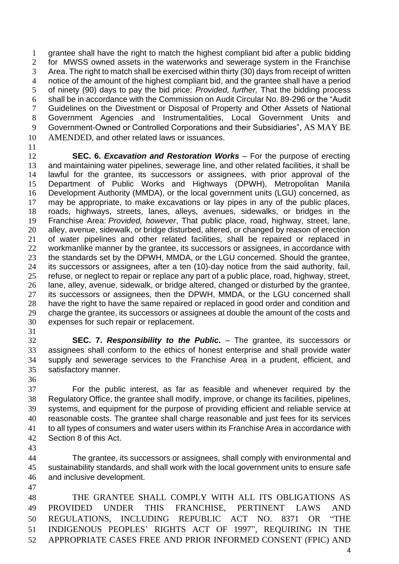grantee shall have the right to match the highest compliant bid after a public bidding for MWSS owned assets in the waterworks and sewerage system in the Franchise Area. The right to match shall be exercised within thirty (30) days from receipt of written notice of the amount of the highest compliant bid, and the grantee shall have a period of ninety (90) days to pay the bid price: *Provided, further,* That the bidding process shall be in accordance with the Commission on Audit Circular No. 89-296 or the "Audit Guidelines on the Divestment or Disposal of Property and Other Assets of National Government Agencies and Instrumentalities, Local Government Units and Government-Owned or Controlled Corporations and their Subsidiaries", AS MAY BE AMENDED, and other related laws or issuances.

 **SEC. 6.** *Excavation and Restoration Works* – For the purpose of erecting and maintaining water pipelines, sewerage line, and other related facilities, it shall be lawful for the grantee, its successors or assignees, with prior approval of the Department of Public Works and Highways (DPWH), Metropolitan Manila Development Authority (MMDA), or the local government units (LGU) concerned, as may be appropriate, to make excavations or lay pipes in any of the public places, roads, highways, streets, lanes, alleys, avenues, sidewalks, or bridges in the Franchise Area: *Provided, however*, That public place, road, highway, street, lane, alley, avenue, sidewalk, or bridge disturbed, altered, or changed by reason of erection of water pipelines and other related facilities, shall be repaired or replaced in workmanlike manner by the grantee, its successors or assignees, in accordance with 23 the standards set by the DPWH, MMDA, or the LGU concerned. Should the grantee, its successors or assignees, after a ten (10)-day notice from the said authority, fail, refuse, or neglect to repair or replace any part of a public place, road, highway, street, lane, alley, avenue, sidewalk, or bridge altered, changed or disturbed by the grantee, its successors or assignees, then the DPWH, MMDA, or the LGU concerned shall have the right to have the same repaired or replaced in good order and condition and charge the grantee, its successors or assignees at double the amount of the costs and expenses for such repair or replacement.

 **SEC. 7.** *Responsibility to the Public.* – The grantee, its successors or assignees shall conform to the ethics of honest enterprise and shall provide water supply and sewerage services to the Franchise Area in a prudent, efficient, and satisfactory manner.

 For the public interest, as far as feasible and whenever required by the Regulatory Office, the grantee shall modify, improve, or change its facilities, pipelines, systems, and equipment for the purpose of providing efficient and reliable service at reasonable costs. The grantee shall charge reasonable and just fees for its services to all types of consumers and water users within its Franchise Area in accordance with Section 8 of this Act.

 The grantee, its successors or assignees, shall comply with environmental and sustainability standards, and shall work with the local government units to ensure safe and inclusive development.

 THE GRANTEE SHALL COMPLY WITH ALL ITS OBLIGATIONS AS PROVIDED UNDER THIS FRANCHISE, PERTINENT LAWS AND REGULATIONS, INCLUDING REPUBLIC ACT NO. 8371 OR "THE INDIGENOUS PEOPLES' RIGHTS ACT OF 1997", REQUIRING IN THE APPROPRIATE CASES FREE AND PRIOR INFORMED CONSENT (FPIC) AND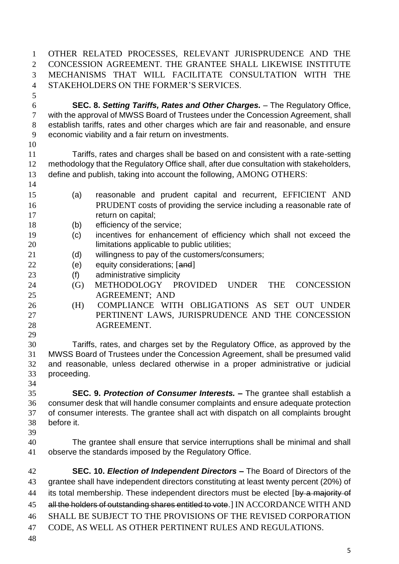OTHER RELATED PROCESSES, RELEVANT JURISPRUDENCE AND THE CONCESSION AGREEMENT. THE GRANTEE SHALL LIKEWISE INSTITUTE MECHANISMS THAT WILL FACILITATE CONSULTATION WITH THE STAKEHOLDERS ON THE FORMER'S SERVICES.

 **SEC. 8.** *Setting Tariffs, Rates and Other Charges.* – The Regulatory Office, with the approval of MWSS Board of Trustees under the Concession Agreement, shall establish tariffs, rates and other charges which are fair and reasonable, and ensure economic viability and a fair return on investments.

 Tariffs, rates and charges shall be based on and consistent with a rate-setting methodology that the Regulatory Office shall, after due consultation with stakeholders, define and publish, taking into account the following, AMONG OTHERS:

- (a) reasonable and prudent capital and recurrent, EFFICIENT AND PRUDENT costs of providing the service including a reasonable rate of 17 return on capital;
- 18 (b) efficiency of the service;
- (c) incentives for enhancement of efficiency which shall not exceed the **limitations applicable to public utilities;**
- (d) willingness to pay of the customers/consumers;
- 22 (e) equity considerations; [and]
- (f) administrative simplicity
- (G) METHODOLOGY PROVIDED UNDER THE CONCESSION AGREEMENT; AND
- (H) COMPLIANCE WITH OBLIGATIONS AS SET OUT UNDER PERTINENT LAWS, JURISPRUDENCE AND THE CONCESSION AGREEMENT.

 Tariffs, rates, and charges set by the Regulatory Office, as approved by the MWSS Board of Trustees under the Concession Agreement, shall be presumed valid and reasonable, unless declared otherwise in a proper administrative or judicial proceeding. 

 **SEC. 9.** *Protection of Consumer Interests. –* The grantee shall establish a consumer desk that will handle consumer complaints and ensure adequate protection of consumer interests. The grantee shall act with dispatch on all complaints brought before it.

 The grantee shall ensure that service interruptions shall be minimal and shall observe the standards imposed by the Regulatory Office.

 **SEC. 10.** *Election of Independent Directors –* The Board of Directors of the grantee shall have independent directors constituting at least twenty percent (20%) of 44 its total membership. These independent directors must be elected [by a majority of 45 all the holders of outstanding shares entitled to vote. I IN ACCORDANCE WITH AND SHALL BE SUBJECT TO THE PROVISIONS OF THE REVISED CORPORATION CODE, AS WELL AS OTHER PERTINENT RULES AND REGULATIONS.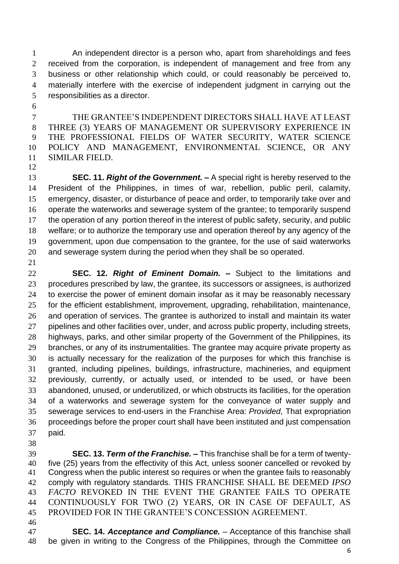An independent director is a person who, apart from shareholdings and fees received from the corporation, is independent of management and free from any business or other relationship which could, or could reasonably be perceived to, materially interfere with the exercise of independent judgment in carrying out the responsibilities as a director.

 THE GRANTEE'S INDEPENDENT DIRECTORS SHALL HAVE AT LEAST THREE (3) YEARS OF MANAGEMENT OR SUPERVISORY EXPERIENCE IN THE PROFESSIONAL FIELDS OF WATER SECURITY, WATER SCIENCE POLICY AND MANAGEMENT, ENVIRONMENTAL SCIENCE, OR ANY SIMILAR FIELD.

 **SEC. 11.** *Right of the Government. –* A special right is hereby reserved to the President of the Philippines, in times of war, rebellion, public peril, calamity, emergency, disaster, or disturbance of peace and order, to temporarily take over and operate the waterworks and sewerage system of the grantee; to temporarily suspend the operation of any portion thereof in the interest of public safety, security, and public welfare; or to authorize the temporary use and operation thereof by any agency of the government, upon due compensation to the grantee, for the use of said waterworks and sewerage system during the period when they shall be so operated.

 **SEC. 12.** *Right of Eminent Domain. –* Subject to the limitations and procedures prescribed by law, the grantee, its successors or assignees, is authorized to exercise the power of eminent domain insofar as it may be reasonably necessary for the efficient establishment, improvement, upgrading, rehabilitation, maintenance, and operation of services. The grantee is authorized to install and maintain its water 27 pipelines and other facilities over, under, and across public property, including streets, highways, parks, and other similar property of the Government of the Philippines, its branches, or any of its instrumentalities. The grantee may acquire private property as is actually necessary for the realization of the purposes for which this franchise is granted, including pipelines, buildings, infrastructure, machineries, and equipment previously, currently, or actually used, or intended to be used, or have been abandoned, unused, or underutilized, or which obstructs its facilities, for the operation of a waterworks and sewerage system for the conveyance of water supply and sewerage services to end-users in the Franchise Area: *Provided*, That expropriation proceedings before the proper court shall have been instituted and just compensation paid*.*

 **SEC. 13.** *Term of the Franchise. –* This franchise shall be for a term of twenty- five (25) years from the effectivity of this Act, unless sooner cancelled or revoked by Congress when the public interest so requires or when the grantee fails to reasonably comply with regulatory standards. THIS FRANCHISE SHALL BE DEEMED *IPSO FACTO* REVOKED IN THE EVENT THE GRANTEE FAILS TO OPERATE CONTINUOUSLY FOR TWO (2) YEARS, OR IN CASE OF DEFAULT, AS PROVIDED FOR IN THE GRANTEE'S CONCESSION AGREEMENT.

 **SEC. 14.** *Acceptance and Compliance. –* Acceptance of this franchise shall be given in writing to the Congress of the Philippines, through the Committee on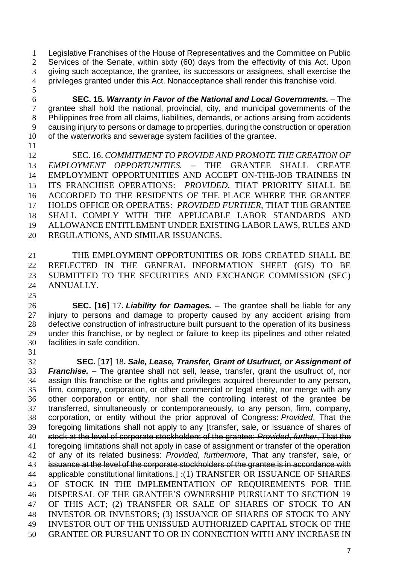Legislative Franchises of the House of Representatives and the Committee on Public Services of the Senate, within sixty (60) days from the effectivity of this Act. Upon giving such acceptance, the grantee, its successors or assignees, shall exercise the privileges granted under this Act. Nonacceptance shall render this franchise void. 

 **SEC. 15***. Warranty in Favor of the National and Local Governments. –* The grantee shall hold the national, provincial, city, and municipal governments of the Philippines free from all claims, liabilities, demands, or actions arising from accidents causing injury to persons or damage to properties, during the construction or operation of the waterworks and sewerage system facilities of the grantee.

 SEC. 16. *COMMITMENT TO PROVIDE AND PROMOTE THE CREATION OF EMPLOYMENT OPPORTUNITIES. –* THE GRANTEE SHALL CREATE EMPLOYMENT OPPORTUNITIES AND ACCEPT ON-THE-JOB TRAINEES IN ITS FRANCHISE OPERATIONS: *PROVIDED,* THAT PRIORITY SHALL BE ACCORDED TO THE RESIDENTS OF THE PLACE WHERE THE GRANTEE HOLDS OFFICE OR OPERATES: *PROVIDED FURTHER,* THAT THE GRANTEE SHALL COMPLY WITH THE APPLICABLE LABOR STANDARDS AND ALLOWANCE ENTITLEMENT UNDER EXISTING LABOR LAWS, RULES AND REGULATIONS, AND SIMILAR ISSUANCES.

 THE EMPLOYMENT OPPORTUNITIES OR JOBS CREATED SHALL BE REFLECTED IN THE GENERAL INFORMATION SHEET (GIS) TO BE SUBMITTED TO THE SECURITIES AND EXCHANGE COMMISSION (SEC) ANNUALLY.

 **SEC.** [**16**] 17**.** *Liability for Damages. –* The grantee shall be liable for any injury to persons and damage to property caused by any accident arising from defective construction of infrastructure built pursuant to the operation of its business under this franchise, or by neglect or failure to keep its pipelines and other related facilities in safe condition.

 **SEC.** [**17**] 18**.** *Sale, Lease, Transfer, Grant of Usufruct, or Assignment of Franchise. –* The grantee shall not sell, lease, transfer, grant the usufruct of, nor assign this franchise or the rights and privileges acquired thereunder to any person, firm, company, corporation, or other commercial or legal entity, nor merge with any other corporation or entity, nor shall the controlling interest of the grantee be transferred, simultaneously or contemporaneously, to any person, firm, company, corporation, or entity without the prior approval of Congress: *Provided*, That the foregoing limitations shall not apply to any [transfer, sale, or issuance of shares of stock at the level of corporate stockholders of the grantee: *Provided*, *further*, That the foregoing limitations shall not apply in case of assignment or transfer of the operation of any of its related business: *Provided*, *furthermore*, That any transfer, sale, or 43 issuance at the level of the corporate stockholders of the grantee is in accordance with applicable constitutional limitations.] :(1) TRANSFER OR ISSUANCE OF SHARES OF STOCK IN THE IMPLEMENTATION OF REQUIREMENTS FOR THE DISPERSAL OF THE GRANTEE'S OWNERSHIP PURSUANT TO SECTION 19 OF THIS ACT; (2) TRANSFER OR SALE OF SHARES OF STOCK TO AN INVESTOR OR INVESTORS; (3) ISSUANCE OF SHARES OF STOCK TO ANY INVESTOR OUT OF THE UNISSUED AUTHORIZED CAPITAL STOCK OF THE GRANTEE OR PURSUANT TO OR IN CONNECTION WITH ANY INCREASE IN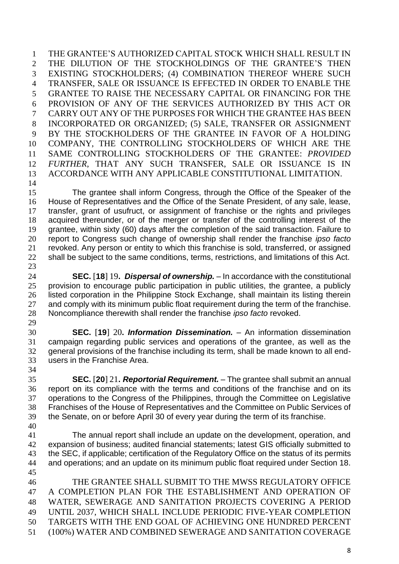THE GRANTEE'S AUTHORIZED CAPITAL STOCK WHICH SHALL RESULT IN THE DILUTION OF THE STOCKHOLDINGS OF THE GRANTEE'S THEN EXISTING STOCKHOLDERS; (4) COMBINATION THEREOF WHERE SUCH TRANSFER, SALE OR ISSUANCE IS EFFECTED IN ORDER TO ENABLE THE GRANTEE TO RAISE THE NECESSARY CAPITAL OR FINANCING FOR THE PROVISION OF ANY OF THE SERVICES AUTHORIZED BY THIS ACT OR CARRY OUT ANY OF THE PURPOSES FOR WHICH THE GRANTEE HAS BEEN INCORPORATED OR ORGANIZED; (5) SALE, TRANSFER OR ASSIGNMENT BY THE STOCKHOLDERS OF THE GRANTEE IN FAVOR OF A HOLDING COMPANY, THE CONTROLLING STOCKHOLDERS OF WHICH ARE THE SAME CONTROLLING STOCKHOLDERS OF THE GRANTEE: *PROVIDED FURTHER*, THAT ANY SUCH TRANSFER, SALE OR ISSUANCE IS IN ACCORDANCE WITH ANY APPLICABLE CONSTITUTIONAL LIMITATION.

 The grantee shall inform Congress, through the Office of the Speaker of the House of Representatives and the Office of the Senate President, of any sale, lease, transfer, grant of usufruct, or assignment of franchise or the rights and privileges acquired thereunder, or of the merger or transfer of the controlling interest of the grantee, within sixty (60) days after the completion of the said transaction. Failure to report to Congress such change of ownership shall render the franchise *ipso facto* revoked. Any person or entity to which this franchise is sold, transferred, or assigned 22 shall be subject to the same conditions, terms, restrictions, and limitations of this Act. 

 **SEC.** [**18**] 19**.** *Dispersal of ownership. –* In accordance with the constitutional provision to encourage public participation in public utilities, the grantee, a publicly listed corporation in the Philippine Stock Exchange, shall maintain its listing therein 27 and comply with its minimum public float requirement during the term of the franchise. Noncompliance therewith shall render the franchise *ipso facto* revoked. 

 **SEC.** [**19**] 20**.** *Information Dissemination. –* An information dissemination campaign regarding public services and operations of the grantee, as well as the general provisions of the franchise including its term, shall be made known to all end- users in the Franchise Area. 

- **SEC.** [**20**] 21**.** *Reportorial Requirement. –* The grantee shall submit an annual report on its compliance with the terms and conditions of the franchise and on its operations to the Congress of the Philippines, through the Committee on Legislative Franchises of the House of Representatives and the Committee on Public Services of the Senate, on or before April 30 of every year during the term of its franchise.
- 

 The annual report shall include an update on the development, operation, and expansion of business; audited financial statements; latest GIS officially submitted to the SEC, if applicable; certification of the Regulatory Office on the status of its permits and operations; and an update on its minimum public float required under Section 18. 

 THE GRANTEE SHALL SUBMIT TO THE MWSS REGULATORY OFFICE A COMPLETION PLAN FOR THE ESTABLISHMENT AND OPERATION OF WATER, SEWERAGE AND SANITATION PROJECTS COVERING A PERIOD UNTIL 2037, WHICH SHALL INCLUDE PERIODIC FIVE-YEAR COMPLETION TARGETS WITH THE END GOAL OF ACHIEVING ONE HUNDRED PERCENT (100%) WATER AND COMBINED SEWERAGE AND SANITATION COVERAGE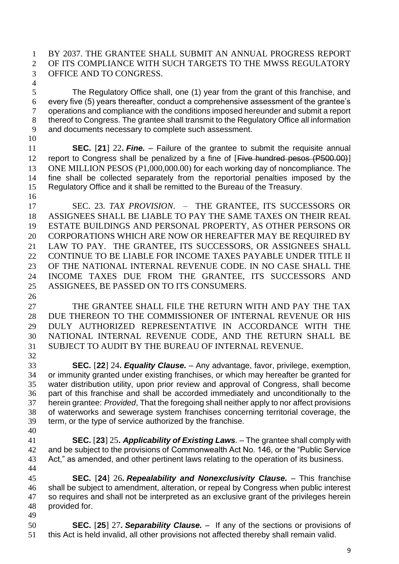BY 2037. THE GRANTEE SHALL SUBMIT AN ANNUAL PROGRESS REPORT OF ITS COMPLIANCE WITH SUCH TARGETS TO THE MWSS REGULATORY OFFICE AND TO CONGRESS.

 The Regulatory Office shall, one (1) year from the grant of this franchise, and every five (5) years thereafter, conduct a comprehensive assessment of the grantee's operations and compliance with the conditions imposed hereunder and submit a report thereof to Congress. The grantee shall transmit to the Regulatory Office all information and documents necessary to complete such assessment. 

 **SEC.** [**21**] 22**.** *Fine. –* Failure of the grantee to submit the requisite annual 12 report to Congress shall be penalized by a fine of [Five hundred pesos (P500.00)] ONE MILLION PESOS (P1,000,000.00) for each working day of noncompliance. The fine shall be collected separately from the reportorial penalties imposed by the Regulatory Office and it shall be remitted to the Bureau of the Treasury. 

 SEC. 23. *TAX PROVISION*. – THE GRANTEE, ITS SUCCESSORS OR ASSIGNEES SHALL BE LIABLE TO PAY THE SAME TAXES ON THEIR REAL ESTATE BUILDINGS AND PERSONAL PROPERTY, AS OTHER PERSONS OR CORPORATIONS WHICH ARE NOW OR HEREAFTER MAY BE REQUIRED BY LAW TO PAY. THE GRANTEE, ITS SUCCESSORS, OR ASSIGNEES SHALL CONTINUE TO BE LIABLE FOR INCOME TAXES PAYABLE UNDER TITLE II OF THE NATIONAL INTERNAL REVENUE CODE. IN NO CASE SHALL THE INCOME TAXES DUE FROM THE GRANTEE, ITS SUCCESSORS AND ASSIGNEES, BE PASSED ON TO ITS CONSUMERS. 

 THE GRANTEE SHALL FILE THE RETURN WITH AND PAY THE TAX DUE THEREON TO THE COMMISSIONER OF INTERNAL REVENUE OR HIS DULY AUTHORIZED REPRESENTATIVE IN ACCORDANCE WITH THE NATIONAL INTERNAL REVENUE CODE, AND THE RETURN SHALL BE SUBJECT TO AUDIT BY THE BUREAU OF INTERNAL REVENUE. 

 **SEC.** [**22**] 24**.** *Equality Clause. –* Any advantage, favor, privilege, exemption, or immunity granted under existing franchises, or which may hereafter be granted for water distribution utility, upon prior review and approval of Congress, shall become part of this franchise and shall be accorded immediately and unconditionally to the herein grantee: *Provided*, That the foregoing shall neither apply to nor affect provisions of waterworks and sewerage system franchises concerning territorial coverage, the term, or the type of service authorized by the franchise.

 **SEC.** [**23**] 25**.** *Applicability of Existing Laws. –* The grantee shall comply with 42 and be subject to the provisions of Commonwealth Act No. 146, or the "Public Service" Act," as amended, and other pertinent laws relating to the operation of its business. 

 **SEC.** [**24**] 26**.** *Repealability and Nonexclusivity Clause. –* This franchise shall be subject to amendment, alteration, or repeal by Congress when public interest so requires and shall not be interpreted as an exclusive grant of the privileges herein provided for. 

 **SEC.** [**25**] 27**.** *Separability Clause. –* If any of the sections or provisions of this Act is held invalid, all other provisions not affected thereby shall remain valid.